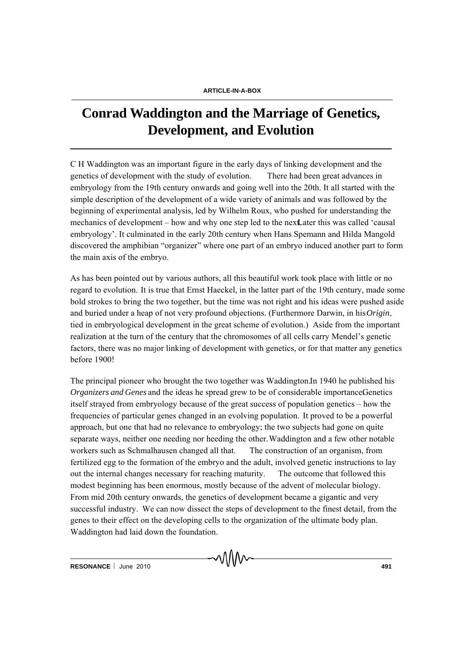## **Conrad Waddington and the Marriage of Genetics, Development, and Evolution**

C H Waddington was an important figure in the early days of linking development and the genetics of development with the study of evolution. There had been great advances in embryology from the 19th century onwards and going well into the 20th. It all started with the simple description of the development of a wide variety of animals and was followed by the beginning of experimental analysis, led by Wilhelm Roux, who pushed for understanding the mechanics of development – how and why one step led to the next Later this was called 'causal embryology'. It culminated in the early 20th century when Hans Spemann and Hilda Mangold discovered the amphibian "organizer" where one part of an embryo induced another part to form the main axis of the embryo.

As has been pointed out by various authors, all this beautiful work took place with little or no regard to evolution. It is true that Ernst Haeckel, in the latter part of the 19th century, made some bold strokes to bring the two together, but the time was not right and his ideas were pushed aside and buried under a heap of not very profound objections. (Furthermore Darwin, in his *Origin*, tied in embryological development in the great scheme of evolution.) Aside from the important realization at the turn of the century that the chromosomes of all cells carry Mendel's genetic factors, there was no major linking of development with genetics, or for that matter any genetics before 1900!

The principal pioneer who brought the two together was Waddington. In 1940 he published his *Organizers and Genes* and the ideas he spread grew to be of considerable importanceGenetics itself strayed from embryology because of the great success of population genetics – how the frequencies of particular genes changed in an evolving population. It proved to be a powerful approach, but one that had no relevance to embryology; the two subjects had gone on quite separate ways, neither one needing nor heeding the other. Waddington and a few other notable workers such as Schmalhausen changed all that. The construction of an organism, from fertilized egg to the formation of the embryo and the adult, involved genetic instructions to lay out the internal changes necessary for reaching maturity. The outcome that followed this modest beginning has been enormous, mostly because of the advent of molecular biology. From mid 20th century onwards, the genetics of development became a gigantic and very successful industry. We can now dissect the steps of development to the finest detail, from the genes to their effect on the developing cells to the organization of the ultimate body plan. Waddington had laid down the foundation.

MMM